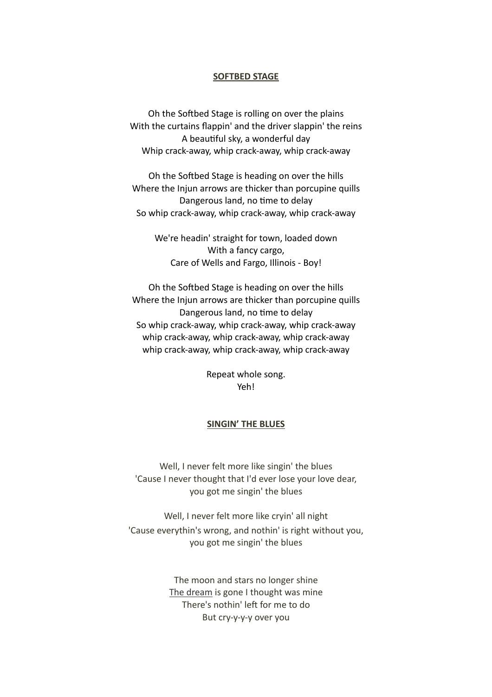### **SOFTBED STAGE**

Oh the Softbed Stage is rolling on over the plains With the curtains flappin' and the driver slappin' the reins A beautiful sky, a wonderful day Whip crack-away, whip crack-away, whip crack-away

Oh the Softbed Stage is heading on over the hills Where the Injun arrows are thicker than porcupine quills Dangerous land, no time to delay So whip crack-away, whip crack-away, whip crack-away

We're headin' straight for town, loaded down With a fancy cargo, Care of Wells and Fargo, Illinois - Boy!

Oh the Softbed Stage is heading on over the hills Where the Injun arrows are thicker than porcupine quills Dangerous land, no time to delay So whip crack-away, whip crack-away, whip crack-away whip crack-away, whip crack-away, whip crack-away whip crack-away, whip crack-away, whip crack-away

> Repeat whole song. Yeh!

## **SINGIN' THE BLUES**

Well, I never felt more like singin' the blues 'Cause I never thought that I'd ever lose your love dear, you got me singin' the blues

Well, I never felt more like cryin' all night 'Cause everythin's wrong, and nothin' is right without you, you got me singin' the blues

> The moon and stars no longer shine The dream is gone I thought was mine There's nothin' left for me to do But cry-y-y-y over you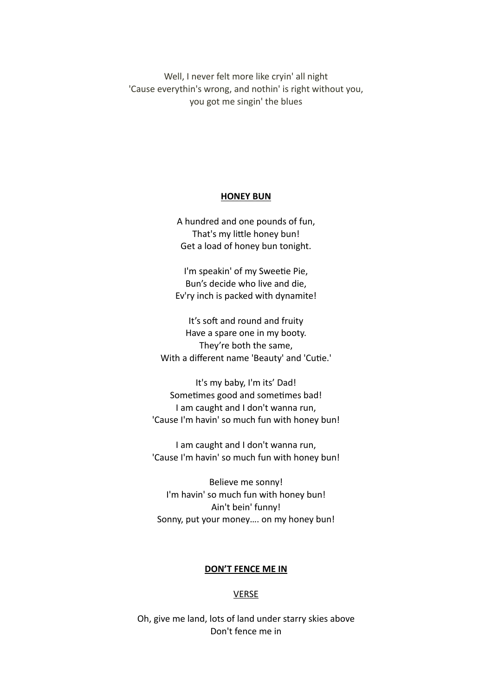Well, I never felt more like cryin' all night 'Cause everythin's wrong, and nothin' is right without you, you got me singin' the blues

#### **HONEY BUN**

A hundred and one pounds of fun, That's my little honey bun! Get a load of honey bun tonight.

I'm speakin' of my Sweetie Pie, Bun's decide who live and die, Ev'ry inch is packed with dynamite!

It's soft and round and fruity Have a spare one in my booty. They're both the same, With a different name 'Beauty' and 'Cutie.'

It's my baby, I'm its' Dad! Sometimes good and sometimes bad! I am caught and I don't wanna run, 'Cause I'm havin' so much fun with honey bun!

I am caught and I don't wanna run, 'Cause I'm havin' so much fun with honey bun!

Believe me sonny! I'm havin' so much fun with honey bun! Ain't bein' funny! Sonny, put your money…. on my honey bun!

### **DON'T FENCE ME IN**

### VERSE

Oh, give me land, lots of land under starry skies above Don't fence me in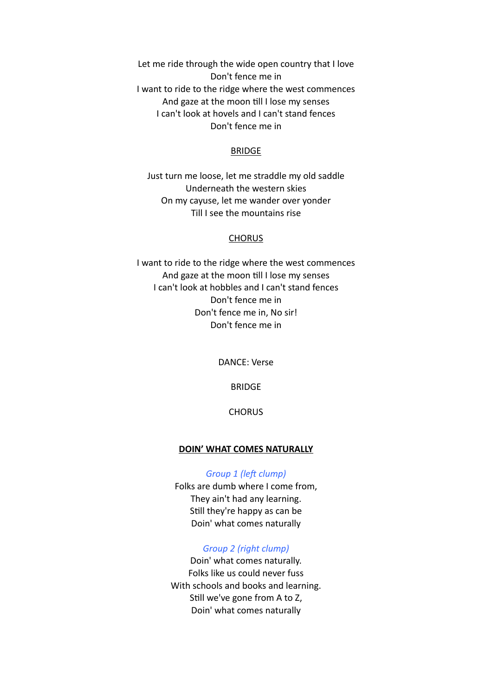Let me ride through the wide open country that I love Don't fence me in I want to ride to the ridge where the west commences And gaze at the moon till I lose my senses I can't look at hovels and I can't stand fences Don't fence me in

## BRIDGE

Just turn me loose, let me straddle my old saddle Underneath the western skies On my cayuse, let me wander over yonder Till I see the mountains rise

# **CHORUS**

I want to ride to the ridge where the west commences And gaze at the moon till I lose my senses I can't look at hobbles and I can't stand fences Don't fence me in Don't fence me in, No sir! Don't fence me in

DANCE: Verse

BRIDGE

**CHORUS** 

# **DOIN' WHAT COMES NATURALLY**

#### *Group 1 (left clump)*

Folks are dumb where I come from, They ain't had any learning. Still they're happy as can be Doin' what comes naturally

## *Group 2 (right clump)*

Doin' what comes naturally. Folks like us could never fuss With schools and books and learning. Still we've gone from A to Z, Doin' what comes naturally